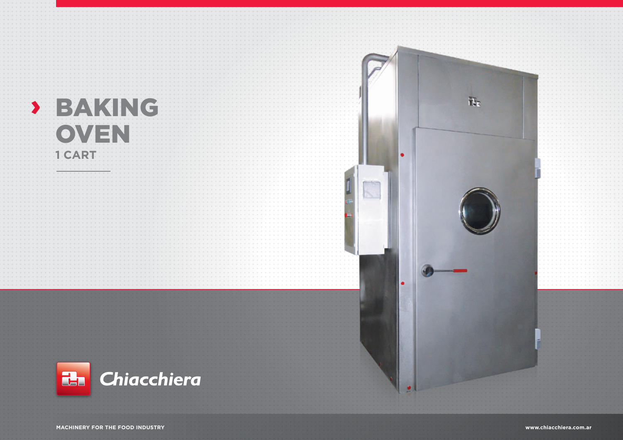